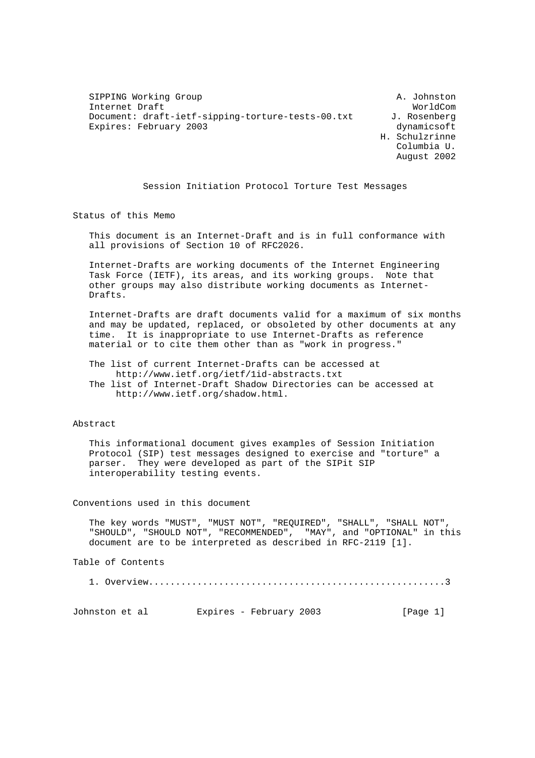SIPPING Working Group A. Johnston Internet Draft Document: draft-ietf-sipping-torture-tests-00.txt J. Rosenberg Expires: February 2003 dynamicsoft

 H. Schulzrinne Columbia U. August 2002

Session Initiation Protocol Torture Test Messages

Status of this Memo

 This document is an Internet-Draft and is in full conformance with all provisions of Section 10 of RFC2026.

 Internet-Drafts are working documents of the Internet Engineering Task Force (IETF), its areas, and its working groups. Note that other groups may also distribute working documents as Internet- Drafts.

 Internet-Drafts are draft documents valid for a maximum of six months and may be updated, replaced, or obsoleted by other documents at any time. It is inappropriate to use Internet-Drafts as reference material or to cite them other than as "work in progress."

The list of current Internet-Drafts can be accessed at

 http://www.ietf.org/ietf/1id-abstracts.txt The list of Internet-Draft Shadow Directories can be accessed at http://www.ietf.org/shadow.html.

#### Abstract

 This informational document gives examples of Session Initiation Protocol (SIP) test messages designed to exercise and "torture" a parser. They were developed as part of the SIPit SIP interoperability testing events.

Conventions used in this document

 The key words "MUST", "MUST NOT", "REQUIRED", "SHALL", "SHALL NOT", "SHOULD", "SHOULD NOT", "RECOMMENDED", "MAY", and "OPTIONAL" in this document are to be interpreted as described in RFC-2119 [1].

Table of Contents

1. Overview.......................................................3

Johnston et al Expires - February 2003 [Page 1]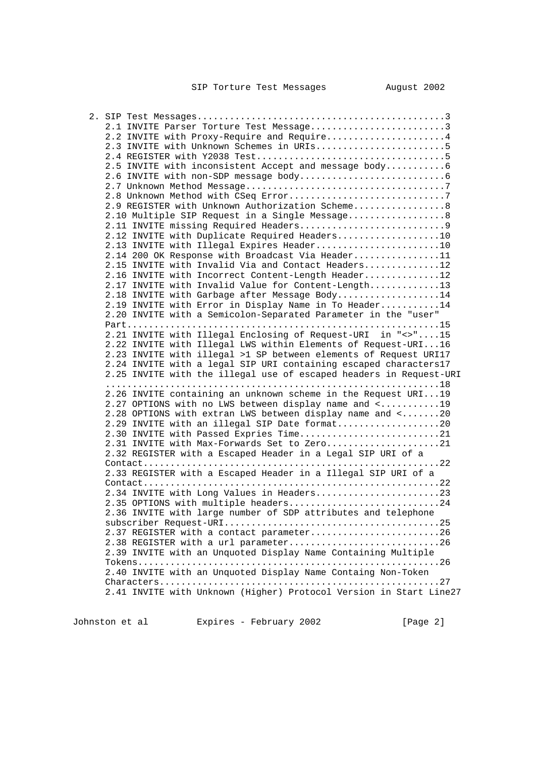| 2.1 INVITE Parser Torture Test Message3                            |
|--------------------------------------------------------------------|
| 2.2 INVITE with Proxy-Require and Require4                         |
| 2.3 INVITE with Unknown Schemes in URIs5                           |
|                                                                    |
|                                                                    |
| 2.5 INVITE with inconsistent Accept and message body6              |
|                                                                    |
|                                                                    |
|                                                                    |
| 2.9 REGISTER with Unknown Authorization Scheme8                    |
| 2.10 Multiple SIP Request in a Single Message8                     |
|                                                                    |
| 2.12 INVITE with Duplicate Required Headers10                      |
| 2.13 INVITE with Illegal Expires Header10                          |
| 2.14 200 OK Response with Broadcast Via Header11                   |
| 2.15 INVITE with Invalid Via and Contact Headers12                 |
| 2.16 INVITE with Incorrect Content-Length Header12                 |
| 2.17 INVITE with Invalid Value for Content-Length13                |
| 2.18 INVITE with Garbage after Message Body14                      |
| 2.19 INVITE with Error in Display Name in To Header14              |
| 2.20 INVITE with a Semicolon-Separated Parameter in the "user"     |
|                                                                    |
| 2.21 INVITE with Illegal Enclosing of Request-URI in "<>"15        |
|                                                                    |
| 2.22 INVITE with Illegal LWS within Elements of Request-URI16      |
| 2.23 INVITE with illegal >1 SP between elements of Request URI17   |
| 2.24 INVITE with a legal SIP URI containing escaped characters17   |
| 2.25 INVITE with the illegal use of escaped headers in Request-URI |
|                                                                    |
| 2.26 INVITE containing an unknown scheme in the Request URI19      |
| 2.27 OPTIONS with no LWS between display name and <19              |
| 2.28 OPTIONS with extran LWS between display name and <20          |
| 2.29 INVITE with an illegal SIP Date format20                      |
| 2.30 INVITE with Passed Expries Time21                             |
| 2.31 INVITE with Max-Forwards Set to Zero21                        |
| 2.32 REGISTER with a Escaped Header in a Legal SIP URI of a        |
|                                                                    |
| 2.33 REGISTER with a Escaped Header in a Illegal SIP URI of a      |
|                                                                    |
| 2.34 INVITE with Long Values in Headers23                          |
| 2.35 OPTIONS with multiple headers24                               |
| 2.36 INVITE with large number of SDP attributes and telephone      |
|                                                                    |
| 2.37 REGISTER with a contact parameter26                           |
| 2.38 REGISTER with a url parameter26                               |
| 2.39 INVITE with an Unquoted Display Name Containing Multiple      |
|                                                                    |
| 2.40 INVITE with an Unquoted Display Name Containg Non-Token       |
|                                                                    |
| 2.41 INVITE with Unknown (Higher) Protocol Version in Start Line27 |
|                                                                    |
|                                                                    |

Johnston et al  $E$ xpires - February 2002 [Page 2]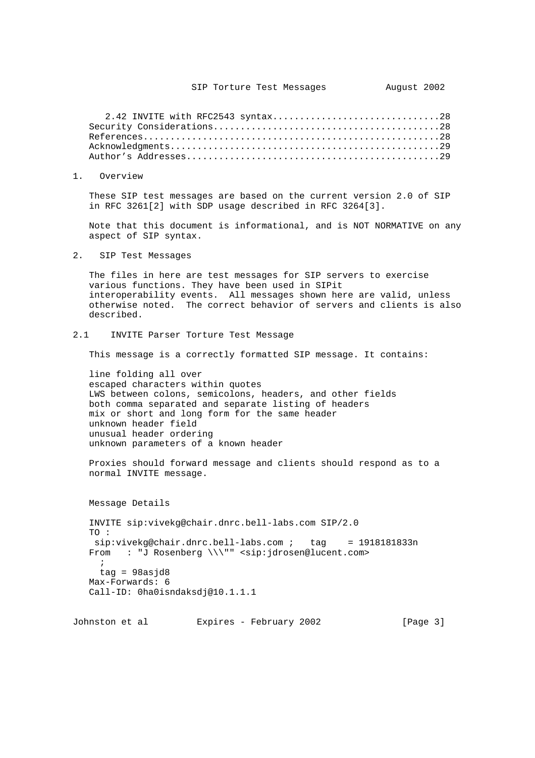2.42 INVITE with RFC2543 syntax...............................28 Security Considerations..........................................28 References.......................................................28 Acknowledgments..................................................29 Author's Addresses...............................................29

1. Overview

 These SIP test messages are based on the current version 2.0 of SIP in RFC 3261[2] with SDP usage described in RFC 3264[3].

 Note that this document is informational, and is NOT NORMATIVE on any aspect of SIP syntax.

2. SIP Test Messages

 The files in here are test messages for SIP servers to exercise various functions. They have been used in SIPit interoperability events. All messages shown here are valid, unless otherwise noted. The correct behavior of servers and clients is also described.

2.1 INVITE Parser Torture Test Message

This message is a correctly formatted SIP message. It contains:

 line folding all over escaped characters within quotes LWS between colons, semicolons, headers, and other fields both comma separated and separate listing of headers mix or short and long form for the same header unknown header field unusual header ordering unknown parameters of a known header

 Proxies should forward message and clients should respond as to a normal INVITE message.

 Message Details INVITE sip:vivekg@chair.dnrc.bell-labs.com SIP/2.0 TO : sip:vivekg@chair.dnrc.bell-labs.com ; tag = 1918181833n From : "J Rosenberg \\\"" <sip:jdrosen@lucent.com>  $\mathbf{i}$  $tag = 98$ asjd $8$  Max-Forwards: 6 Call-ID: 0ha0isndaksdj@10.1.1.1

Johnston et al Expires - February 2002 [Page 3]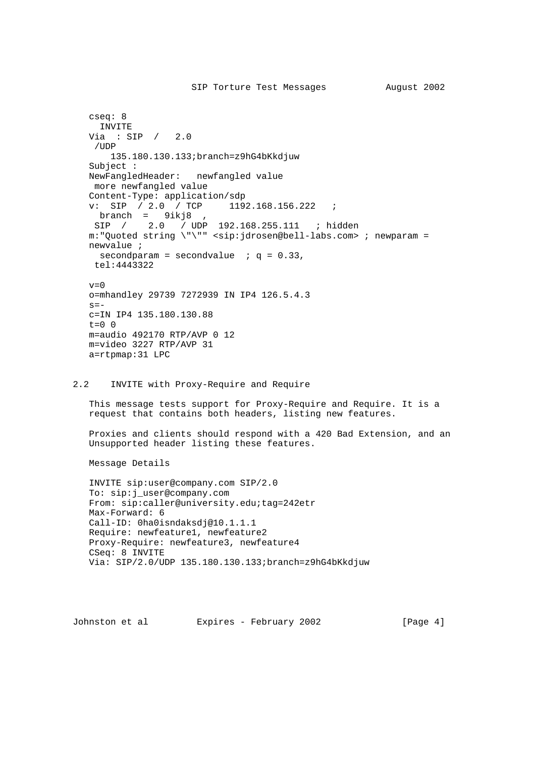```
 cseq: 8
     INVITE
   Via : SIP / 2.0
    /UDP
        135.180.130.133;branch=z9hG4bKkdjuw
    Subject :
   NewFangledHeader: newfangled value
    more newfangled value
  Content-Type: application/sdp<br>v: SIP / 2.0 / TCP 119
                          1192.168.156.222 ;
     branch = 9ikj8 ,
    SIP / 2.0 / UDP 192.168.255.111 ; hidden
   m:"Quoted string \"\"" <sip:jdrosen@bell-labs.com> ; newparam =
   newvalue ;
    secondparam = secondvalue ; q = 0.33, tel:4443322
  v=0 o=mhandley 29739 7272939 IN IP4 126.5.4.3
  s=- c=IN IP4 135.180.130.88
  t=0 0
   m=audio 492170 RTP/AVP 0 12
   m=video 3227 RTP/AVP 31
   a=rtpmap:31 LPC
2.2 INVITE with Proxy-Require and Require
   This message tests support for Proxy-Require and Require. It is a
   request that contains both headers, listing new features.
   Proxies and clients should respond with a 420 Bad Extension, and an
   Unsupported header listing these features.
   Message Details
   INVITE sip:user@company.com SIP/2.0
   To: sip:j_user@company.com
   From: sip:caller@university.edu;tag=242etr
   Max-Forward: 6
   Call-ID: 0ha0isndaksdj@10.1.1.1
   Require: newfeature1, newfeature2
   Proxy-Require: newfeature3, newfeature4
   CSeq: 8 INVITE
   Via: SIP/2.0/UDP 135.180.130.133;branch=z9hG4bKkdjuw
```
Johnston et al  $E$ xpires - February 2002 [Page 4]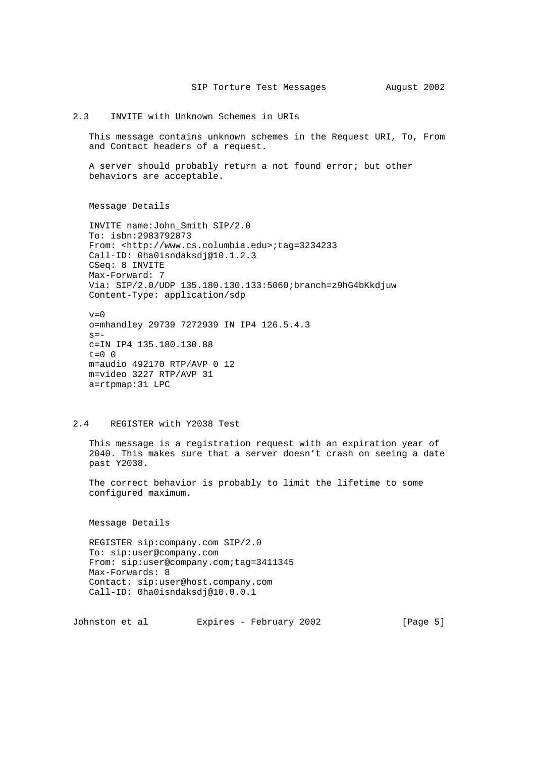### 2.3 INVITE with Unknown Schemes in URIs

 This message contains unknown schemes in the Request URI, To, From and Contact headers of a request.

 A server should probably return a not found error; but other behaviors are acceptable.

Message Details

 INVITE name:John\_Smith SIP/2.0 To: isbn:2983792873 From: <http://www.cs.columbia.edu>;tag=3234233 Call-ID: 0ha0isndaksdj@10.1.2.3 CSeq: 8 INVITE Max-Forward: 7 Via: SIP/2.0/UDP 135.180.130.133:5060;branch=z9hG4bKkdjuw Content-Type: application/sdp

 $v=0$  o=mhandley 29739 7272939 IN IP4 126.5.4.3  $s=$  c=IN IP4 135.180.130.88  $t=0$  0 m=audio 492170 RTP/AVP 0 12 m=video 3227 RTP/AVP 31 a=rtpmap:31 LPC

### 2.4 REGISTER with Y2038 Test

 This message is a registration request with an expiration year of 2040. This makes sure that a server doesn't crash on seeing a date past Y2038.

 The correct behavior is probably to limit the lifetime to some configured maximum.

Message Details

 REGISTER sip:company.com SIP/2.0 To: sip:user@company.com From: sip:user@company.com;tag=3411345 Max-Forwards: 8 Contact: sip:user@host.company.com Call-ID: 0ha0isndaksdj@10.0.0.1

Johnston et al  $E$ xpires - February 2002 [Page 5]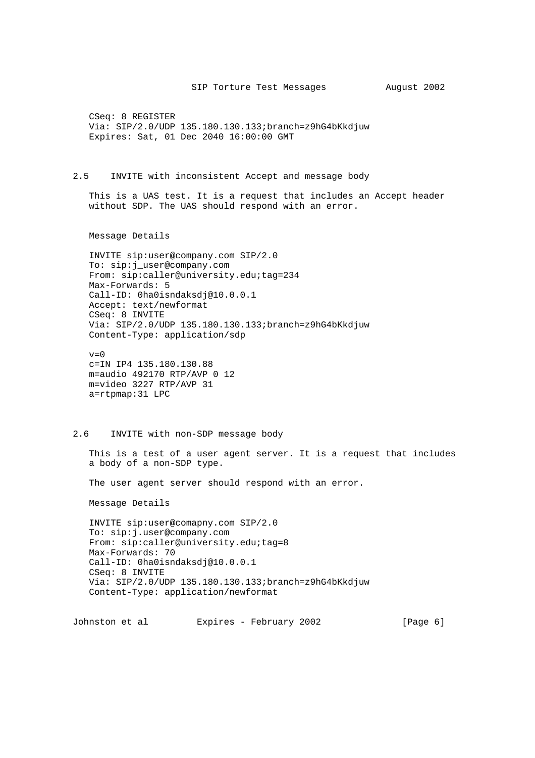CSeq: 8 REGISTER Via: SIP/2.0/UDP 135.180.130.133;branch=z9hG4bKkdjuw Expires: Sat, 01 Dec 2040 16:00:00 GMT

2.5 INVITE with inconsistent Accept and message body

 This is a UAS test. It is a request that includes an Accept header without SDP. The UAS should respond with an error.

Message Details

 INVITE sip:user@company.com SIP/2.0 To: sip:j\_user@company.com From: sip:caller@university.edu;tag=234 Max-Forwards: 5 Call-ID: 0ha0isndaksdj@10.0.0.1 Accept: text/newformat CSeq: 8 INVITE Via: SIP/2.0/UDP 135.180.130.133;branch=z9hG4bKkdjuw Content-Type: application/sdp

 $v=0$  c=IN IP4 135.180.130.88 m=audio 492170 RTP/AVP 0 12 m=video 3227 RTP/AVP 31 a=rtpmap:31 LPC

#### 2.6 INVITE with non-SDP message body

 This is a test of a user agent server. It is a request that includes a body of a non-SDP type.

The user agent server should respond with an error.

Message Details

 INVITE sip:user@comapny.com SIP/2.0 To: sip:j.user@company.com From: sip:caller@university.edu;tag=8 Max-Forwards: 70 Call-ID: 0ha0isndaksdj@10.0.0.1 CSeq: 8 INVITE Via: SIP/2.0/UDP 135.180.130.133;branch=z9hG4bKkdjuw Content-Type: application/newformat

Johnston et al  $Expires$  - February 2002 [Page 6]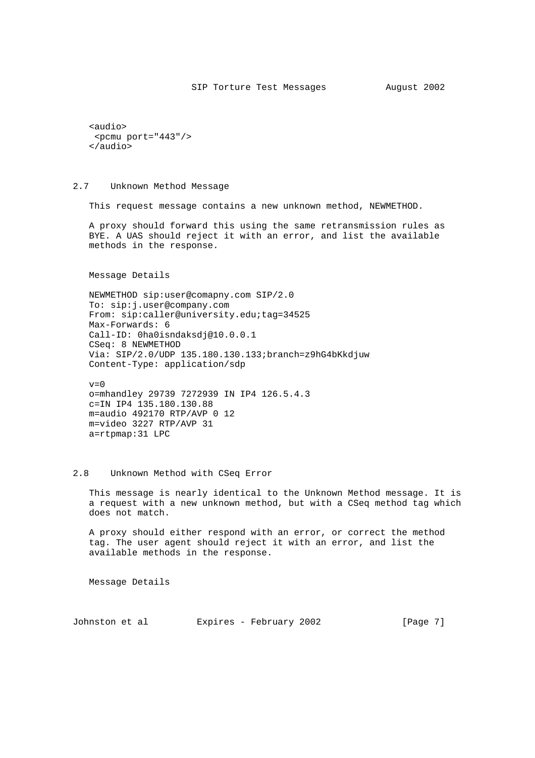```
 <audio>
 <pcmu port="443"/>
 </audio>
```
2.7 Unknown Method Message

This request message contains a new unknown method, NEWMETHOD.

 A proxy should forward this using the same retransmission rules as BYE. A UAS should reject it with an error, and list the available methods in the response.

Message Details

 NEWMETHOD sip:user@comapny.com SIP/2.0 To: sip:j.user@company.com From: sip:caller@university.edu;tag=34525 Max-Forwards: 6 Call-ID: 0ha0isndaksdj@10.0.0.1 CSeq: 8 NEWMETHOD Via: SIP/2.0/UDP 135.180.130.133;branch=z9hG4bKkdjuw Content-Type: application/sdp

```
v=0 o=mhandley 29739 7272939 IN IP4 126.5.4.3
 c=IN IP4 135.180.130.88
 m=audio 492170 RTP/AVP 0 12
 m=video 3227 RTP/AVP 31
 a=rtpmap:31 LPC
```
# 2.8 Unknown Method with CSeq Error

 This message is nearly identical to the Unknown Method message. It is a request with a new unknown method, but with a CSeq method tag which does not match.

 A proxy should either respond with an error, or correct the method tag. The user agent should reject it with an error, and list the available methods in the response.

Message Details

Johnston et al  $Expires$  - February 2002 [Page 7]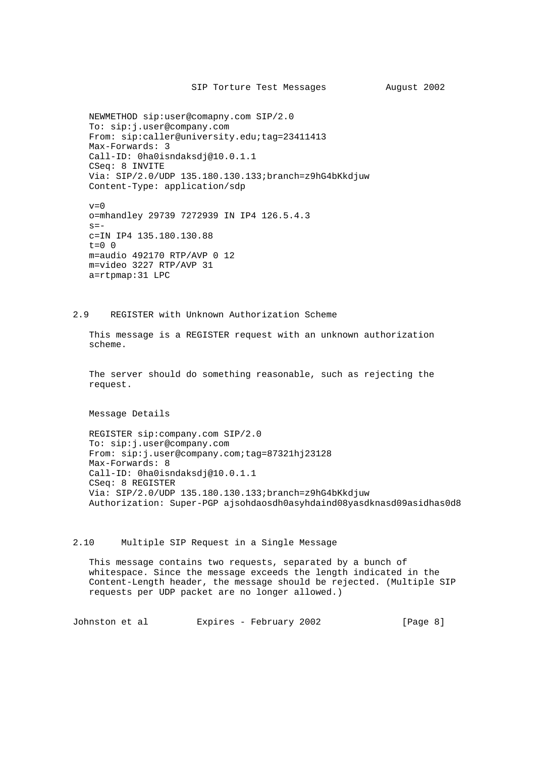```
 NEWMETHOD sip:user@comapny.com SIP/2.0
 To: sip:j.user@company.com
From: sip:caller@university.edu;tag=23411413
 Max-Forwards: 3
 Call-ID: 0ha0isndaksdj@10.0.1.1
 CSeq: 8 INVITE
 Via: SIP/2.0/UDP 135.180.130.133;branch=z9hG4bKkdjuw
 Content-Type: application/sdp
\overline{v}=-0
```
 o=mhandley 29739 7272939 IN IP4 126.5.4.3  $s=$  c=IN IP4 135.180.130.88  $t=0$  0 m=audio 492170 RTP/AVP 0 12 m=video 3227 RTP/AVP 31 a=rtpmap:31 LPC

#### 2.9 REGISTER with Unknown Authorization Scheme

 This message is a REGISTER request with an unknown authorization scheme.

 The server should do something reasonable, such as rejecting the request.

Message Details

 REGISTER sip:company.com SIP/2.0 To: sip:j.user@company.com From: sip:j.user@company.com;tag=87321hj23128 Max-Forwards: 8 Call-ID: 0ha0isndaksdj@10.0.1.1 CSeq: 8 REGISTER Via: SIP/2.0/UDP 135.180.130.133;branch=z9hG4bKkdjuw Authorization: Super-PGP ajsohdaosdh0asyhdaind08yasdknasd09asidhas0d8

# 2.10 Multiple SIP Request in a Single Message

 This message contains two requests, separated by a bunch of whitespace. Since the message exceeds the length indicated in the Content-Length header, the message should be rejected. (Multiple SIP requests per UDP packet are no longer allowed.)

Johnston et al  $E$ xpires - February 2002 [Page 8]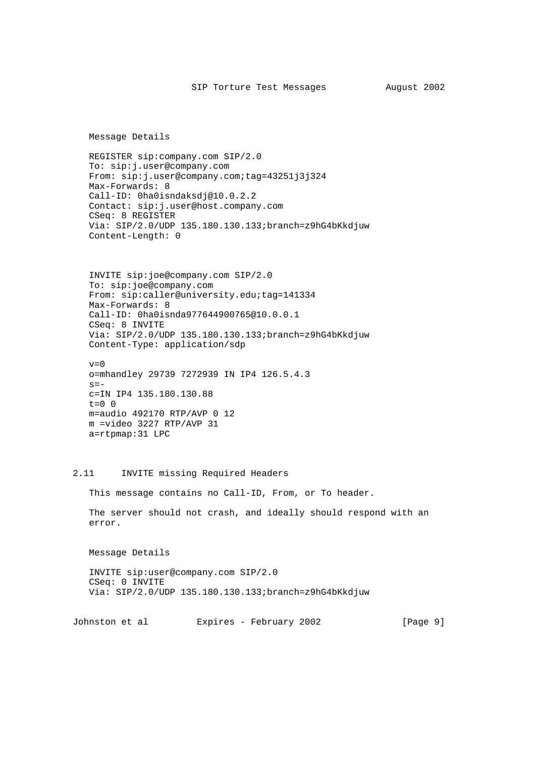Message Details

 REGISTER sip:company.com SIP/2.0 To: sip:j.user@company.com From: sip:j.user@company.com;tag=43251j3j324 Max-Forwards: 8 Call-ID: 0ha0isndaksdj@10.0.2.2 Contact: sip:j.user@host.company.com CSeq: 8 REGISTER Via: SIP/2.0/UDP 135.180.130.133;branch=z9hG4bKkdjuw Content-Length: 0

 INVITE sip:joe@company.com SIP/2.0 To: sip:joe@company.com From: sip:caller@university.edu;tag=141334 Max-Forwards: 8 Call-ID: 0ha0isnda977644900765@10.0.0.1 CSeq: 8 INVITE Via: SIP/2.0/UDP 135.180.130.133;branch=z9hG4bKkdjuw Content-Type: application/sdp

 $v=0$  o=mhandley 29739 7272939 IN IP4 126.5.4.3  $s=$  c=IN IP4 135.180.130.88  $t=0$  0 m=audio 492170 RTP/AVP 0 12 m =video 3227 RTP/AVP 31 a=rtpmap:31 LPC

# 2.11 INVITE missing Required Headers

This message contains no Call-ID, From, or To header.

 The server should not crash, and ideally should respond with an error.

Message Details

 INVITE sip:user@company.com SIP/2.0 CSeq: 0 INVITE Via: SIP/2.0/UDP 135.180.130.133;branch=z9hG4bKkdjuw

Johnston et al  $Expires$  - February 2002 [Page 9]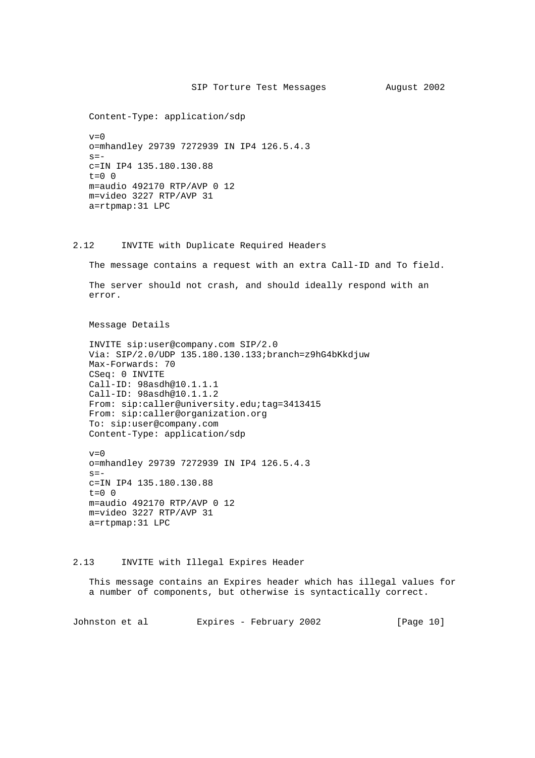Content-Type: application/sdp

 $v=0$  o=mhandley 29739 7272939 IN IP4 126.5.4.3  $s =$  c=IN IP4 135.180.130.88  $t=0$  0 m=audio 492170 RTP/AVP 0 12 m=video 3227 RTP/AVP 31 a=rtpmap:31 LPC

# 2.12 INVITE with Duplicate Required Headers

The message contains a request with an extra Call-ID and To field.

 The server should not crash, and should ideally respond with an error.

Message Details

 INVITE sip:user@company.com SIP/2.0 Via: SIP/2.0/UDP 135.180.130.133;branch=z9hG4bKkdjuw Max-Forwards: 70 CSeq: 0 INVITE Call-ID: 98asdh@10.1.1.1 Call-ID: 98asdh@10.1.1.2 From: sip:caller@university.edu;tag=3413415 From: sip:caller@organization.org To: sip:user@company.com Content-Type: application/sdp

 $v=0$  o=mhandley 29739 7272939 IN IP4 126.5.4.3  $s =$  c=IN IP4 135.180.130.88  $t=0$  0 m=audio 492170 RTP/AVP 0 12 m=video 3227 RTP/AVP 31 a=rtpmap:31 LPC

#### 2.13 INVITE with Illegal Expires Header

 This message contains an Expires header which has illegal values for a number of components, but otherwise is syntactically correct.

Johnston et al Expires - February 2002 [Page 10]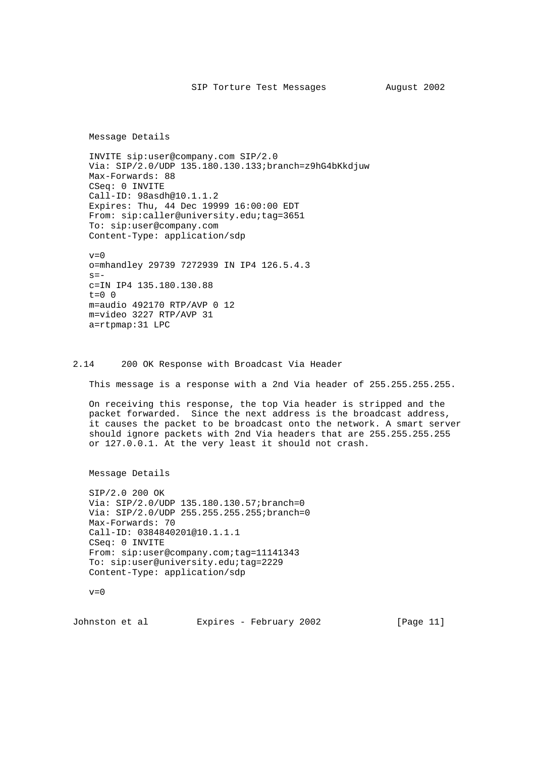Message Details

 INVITE sip:user@company.com SIP/2.0 Via: SIP/2.0/UDP 135.180.130.133;branch=z9hG4bKkdjuw Max-Forwards: 88 CSeq: 0 INVITE Call-ID: 98asdh@10.1.1.2 Expires: Thu, 44 Dec 19999 16:00:00 EDT From: sip:caller@university.edu;tag=3651 To: sip:user@company.com Content-Type: application/sdp

 $v=0$  o=mhandley 29739 7272939 IN IP4 126.5.4.3  $s=$  c=IN IP4 135.180.130.88  $t=0$  0 m=audio 492170 RTP/AVP 0 12 m=video 3227 RTP/AVP 31 a=rtpmap:31 LPC

### 2.14 200 OK Response with Broadcast Via Header

This message is a response with a 2nd Via header of 255.255.255.255.

 On receiving this response, the top Via header is stripped and the packet forwarded. Since the next address is the broadcast address, it causes the packet to be broadcast onto the network. A smart server should ignore packets with 2nd Via headers that are 255.255.255.255 or 127.0.0.1. At the very least it should not crash.

Message Details

 SIP/2.0 200 OK Via: SIP/2.0/UDP 135.180.130.57;branch=0 Via: SIP/2.0/UDP 255.255.255.255;branch=0 Max-Forwards: 70 Call-ID: 0384840201@10.1.1.1 CSeq: 0 INVITE From: sip:user@company.com;tag=11141343 To: sip:user@university.edu;tag=2229 Content-Type: application/sdp

 $v=0$ 

Johnston et al Expires - February 2002 [Page 11]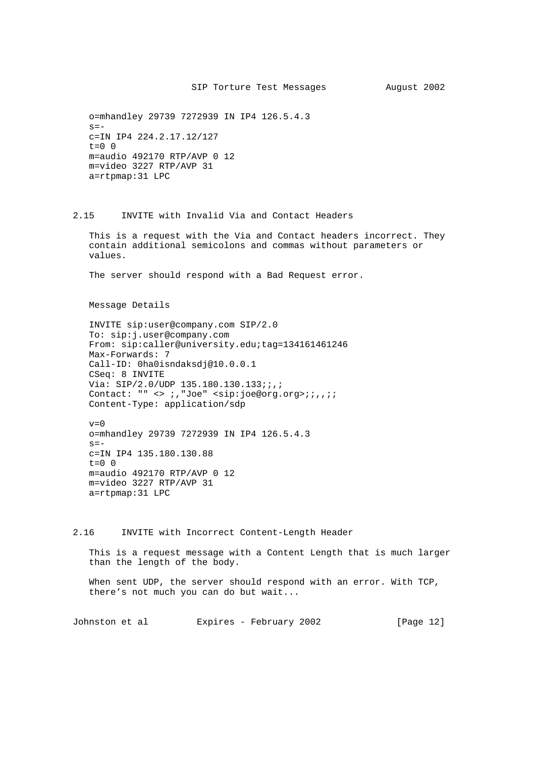o=mhandley 29739 7272939 IN IP4 126.5.4.3  $s=$  c=IN IP4 224.2.17.12/127  $t=0$  0 m=audio 492170 RTP/AVP 0 12 m=video 3227 RTP/AVP 31 a=rtpmap:31 LPC

# 2.15 INVITE with Invalid Via and Contact Headers

 This is a request with the Via and Contact headers incorrect. They contain additional semicolons and commas without parameters or values.

The server should respond with a Bad Request error.

Message Details

 INVITE sip:user@company.com SIP/2.0 To: sip:j.user@company.com From: sip:caller@university.edu;tag=134161461246 Max-Forwards: 7 Call-ID: 0ha0isndaksdj@10.0.0.1 CSeq: 8 INVITE Via: SIP/2.0/UDP 135.180.130.133;;,; Contact: "" <> ;,"Joe" <sip:joe@org.org>;;,,;; Content-Type: application/sdp

 $v=0$  o=mhandley 29739 7272939 IN IP4 126.5.4.3  $s =$  c=IN IP4 135.180.130.88  $t=0$  0 m=audio 492170 RTP/AVP 0 12 m=video 3227 RTP/AVP 31 a=rtpmap:31 LPC

2.16 INVITE with Incorrect Content-Length Header

 This is a request message with a Content Length that is much larger than the length of the body.

 When sent UDP, the server should respond with an error. With TCP, there's not much you can do but wait...

Johnston et al Expires - February 2002 [Page 12]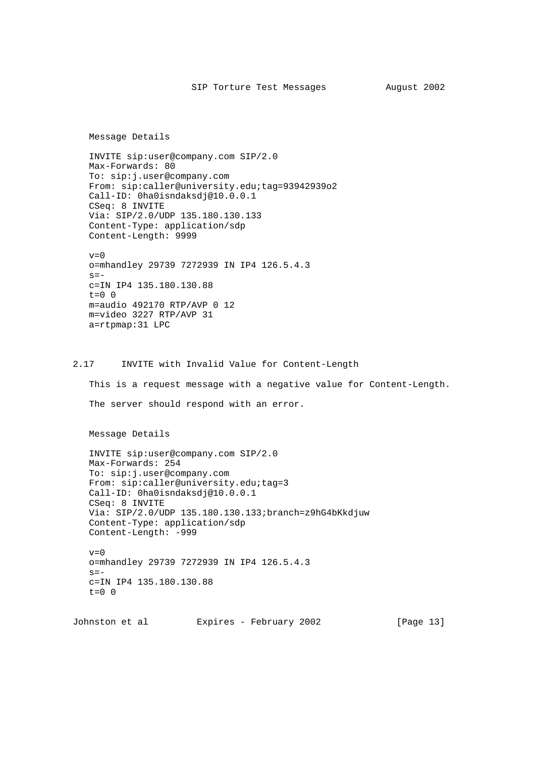Message Details

 INVITE sip:user@company.com SIP/2.0 Max-Forwards: 80 To: sip:j.user@company.com From: sip:caller@university.edu;tag=93942939o2 Call-ID: 0ha0isndaksdj@10.0.0.1 CSeq: 8 INVITE Via: SIP/2.0/UDP 135.180.130.133 Content-Type: application/sdp Content-Length: 9999

 $v=0$  o=mhandley 29739 7272939 IN IP4 126.5.4.3  $s=$  c=IN IP4 135.180.130.88  $t=0$  0 m=audio 492170 RTP/AVP 0 12 m=video 3227 RTP/AVP 31 a=rtpmap:31 LPC

2.17 INVITE with Invalid Value for Content-Length

 This is a request message with a negative value for Content-Length. The server should respond with an error.

Message Details

 INVITE sip:user@company.com SIP/2.0 Max-Forwards: 254 To: sip:j.user@company.com From: sip:caller@university.edu;tag=3 Call-ID: 0ha0isndaksdj@10.0.0.1 CSeq: 8 INVITE Via: SIP/2.0/UDP 135.180.130.133;branch=z9hG4bKkdjuw Content-Type: application/sdp Content-Length: -999

 $v=0$  o=mhandley 29739 7272939 IN IP4 126.5.4.3  $s=$  c=IN IP4 135.180.130.88  $t=0$  0

Johnston et al Expires - February 2002 [Page 13]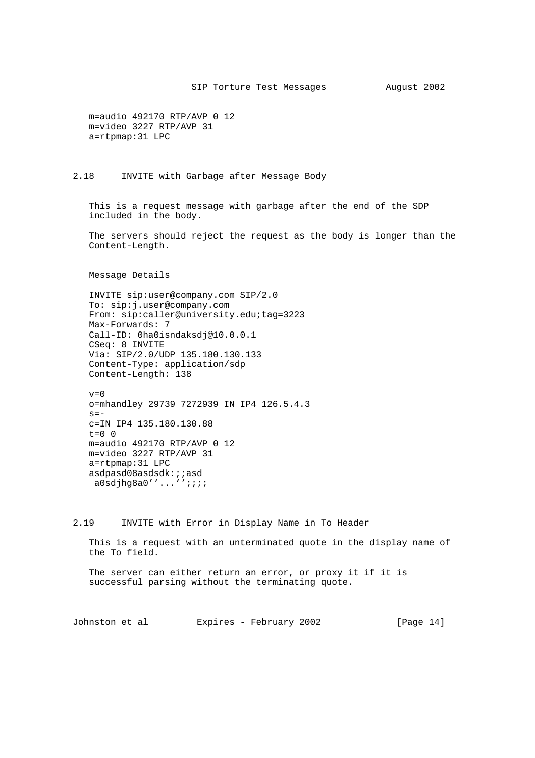m=audio 492170 RTP/AVP 0 12 m=video 3227 RTP/AVP 31 a=rtpmap:31 LPC

2.18 INVITE with Garbage after Message Body

 This is a request message with garbage after the end of the SDP included in the body.

 The servers should reject the request as the body is longer than the Content-Length.

Message Details

 INVITE sip:user@company.com SIP/2.0 To: sip:j.user@company.com From: sip:caller@university.edu;tag=3223 Max-Forwards: 7 Call-ID: 0ha0isndaksdj@10.0.0.1 CSeq: 8 INVITE Via: SIP/2.0/UDP 135.180.130.133 Content-Type: application/sdp Content-Length: 138

 $v=0$  o=mhandley 29739 7272939 IN IP4 126.5.4.3  $s=$  c=IN IP4 135.180.130.88  $t=0$  0 m=audio 492170 RTP/AVP 0 12 m=video 3227 RTP/AVP 31 a=rtpmap:31 LPC asdpasd08asdsdk:;;asd a0sdjhg8a0''...'';;;;

2.19 INVITE with Error in Display Name in To Header

 This is a request with an unterminated quote in the display name of the To field.

 The server can either return an error, or proxy it if it is successful parsing without the terminating quote.

Johnston et al Expires - February 2002 [Page 14]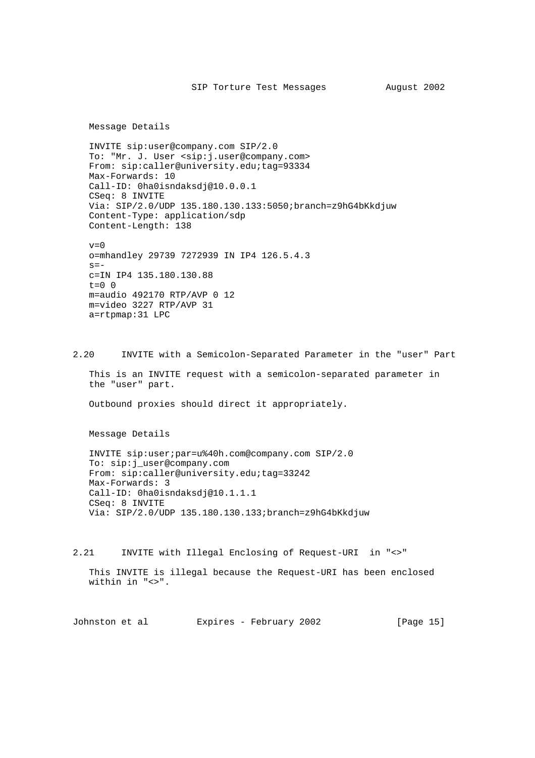Message Details

 INVITE sip:user@company.com SIP/2.0 To: "Mr. J. User <sip:j.user@company.com> From: sip:caller@university.edu;tag=93334 Max-Forwards: 10 Call-ID: 0ha0isndaksdj@10.0.0.1 CSeq: 8 INVITE Via: SIP/2.0/UDP 135.180.130.133:5050;branch=z9hG4bKkdjuw Content-Type: application/sdp Content-Length: 138

 $v=0$  o=mhandley 29739 7272939 IN IP4 126.5.4.3  $s=$  c=IN IP4 135.180.130.88  $t=0$  0 m=audio 492170 RTP/AVP 0 12 m=video 3227 RTP/AVP 31 a=rtpmap:31 LPC

2.20 INVITE with a Semicolon-Separated Parameter in the "user" Part

 This is an INVITE request with a semicolon-separated parameter in the "user" part.

Outbound proxies should direct it appropriately.

Message Details

 INVITE sip:user;par=u%40h.com@company.com SIP/2.0 To: sip:j\_user@company.com From: sip:caller@university.edu;tag=33242 Max-Forwards: 3 Call-ID: 0ha0isndaksdj@10.1.1.1 CSeq: 8 INVITE Via: SIP/2.0/UDP 135.180.130.133;branch=z9hG4bKkdjuw

2.21 INVITE with Illegal Enclosing of Request-URI in "<>"

 This INVITE is illegal because the Request-URI has been enclosed within in "<>".

Johnston et al Expires - February 2002 [Page 15]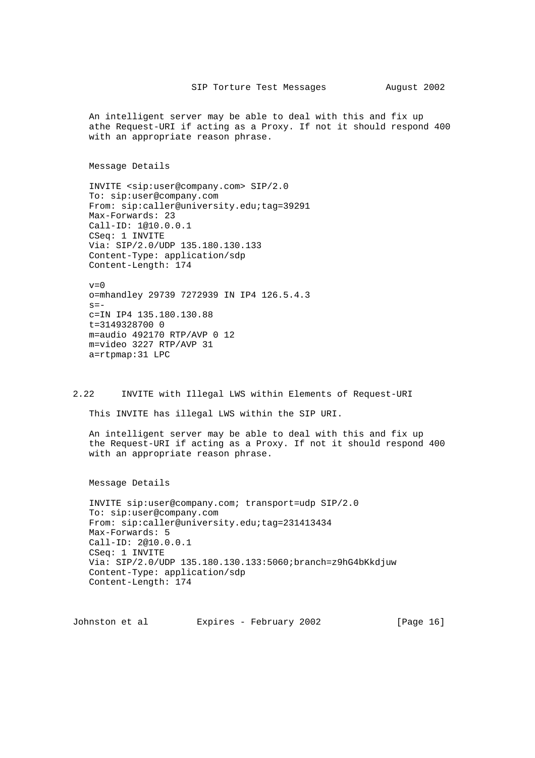An intelligent server may be able to deal with this and fix up athe Request-URI if acting as a Proxy. If not it should respond 400 with an appropriate reason phrase.

Message Details

 INVITE <sip:user@company.com> SIP/2.0 To: sip:user@company.com From: sip:caller@university.edu;tag=39291 Max-Forwards: 23 Call-ID: 1@10.0.0.1 CSeq: 1 INVITE Via: SIP/2.0/UDP 135.180.130.133 Content-Type: application/sdp Content-Length: 174

 $v=0$  o=mhandley 29739 7272939 IN IP4 126.5.4.3  $s=$  c=IN IP4 135.180.130.88 t=3149328700 0 m=audio 492170 RTP/AVP 0 12 m=video 3227 RTP/AVP 31 a=rtpmap:31 LPC

2.22 INVITE with Illegal LWS within Elements of Request-URI

This INVITE has illegal LWS within the SIP URI.

 An intelligent server may be able to deal with this and fix up the Request-URI if acting as a Proxy. If not it should respond 400 with an appropriate reason phrase.

Message Details

 INVITE sip:user@company.com; transport=udp SIP/2.0 To: sip:user@company.com From: sip:caller@university.edu;tag=231413434 Max-Forwards: 5 Call-ID: 2@10.0.0.1 CSeq: 1 INVITE Via: SIP/2.0/UDP 135.180.130.133:5060;branch=z9hG4bKkdjuw Content-Type: application/sdp Content-Length: 174

Johnston et al Expires - February 2002 [Page 16]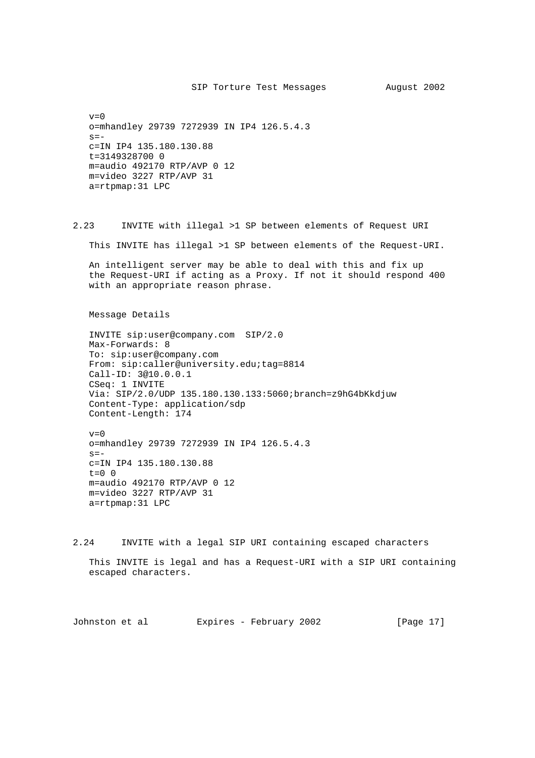$v=0$  o=mhandley 29739 7272939 IN IP4 126.5.4.3  $s=$  c=IN IP4 135.180.130.88 t=3149328700 0 m=audio 492170 RTP/AVP 0 12 m=video 3227 RTP/AVP 31 a=rtpmap:31 LPC

2.23 INVITE with illegal >1 SP between elements of Request URI

This INVITE has illegal >1 SP between elements of the Request-URI.

 An intelligent server may be able to deal with this and fix up the Request-URI if acting as a Proxy. If not it should respond 400 with an appropriate reason phrase.

Message Details

 INVITE sip:user@company.com SIP/2.0 Max-Forwards: 8 To: sip:user@company.com From: sip:caller@university.edu;tag=8814 Call-ID: 3@10.0.0.1 CSeq: 1 INVITE Via: SIP/2.0/UDP 135.180.130.133:5060;branch=z9hG4bKkdjuw Content-Type: application/sdp Content-Length: 174

 $v=0$  o=mhandley 29739 7272939 IN IP4 126.5.4.3  $s=$  c=IN IP4 135.180.130.88  $t=0$  0 m=audio 492170 RTP/AVP 0 12 m=video 3227 RTP/AVP 31 a=rtpmap:31 LPC

2.24 INVITE with a legal SIP URI containing escaped characters

 This INVITE is legal and has a Request-URI with a SIP URI containing escaped characters.

Johnston et al Expires - February 2002 [Page 17]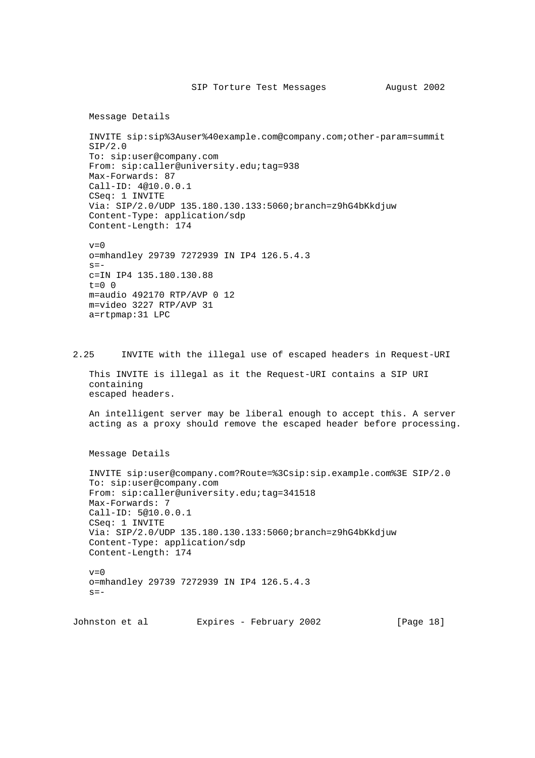```
 Message Details
```
 INVITE sip:sip%3Auser%40example.com@company.com;other-param=summit SIP/2.0 To: sip:user@company.com From: sip:caller@university.edu;tag=938 Max-Forwards: 87 Call-ID: 4@10.0.0.1 CSeq: 1 INVITE Via: SIP/2.0/UDP 135.180.130.133:5060;branch=z9hG4bKkdjuw Content-Type: application/sdp Content-Length: 174

```
v=0 o=mhandley 29739 7272939 IN IP4 126.5.4.3
s=- c=IN IP4 135.180.130.88
t=0 0
 m=audio 492170 RTP/AVP 0 12
 m=video 3227 RTP/AVP 31
 a=rtpmap:31 LPC
```
2.25 INVITE with the illegal use of escaped headers in Request-URI

 This INVITE is illegal as it the Request-URI contains a SIP URI containing escaped headers.

 An intelligent server may be liberal enough to accept this. A server acting as a proxy should remove the escaped header before processing.

Message Details

```
 INVITE sip:user@company.com?Route=%3Csip:sip.example.com%3E SIP/2.0
 To: sip:user@company.com
From: sip:caller@university.edu;tag=341518
 Max-Forwards: 7
 Call-ID: 5@10.0.0.1
 CSeq: 1 INVITE
 Via: SIP/2.0/UDP 135.180.130.133:5060;branch=z9hG4bKkdjuw
 Content-Type: application/sdp
 Content-Length: 174
v=0 o=mhandley 29739 7272939 IN IP4 126.5.4.3
s = -
```
Johnston et al Expires - February 2002 [Page 18]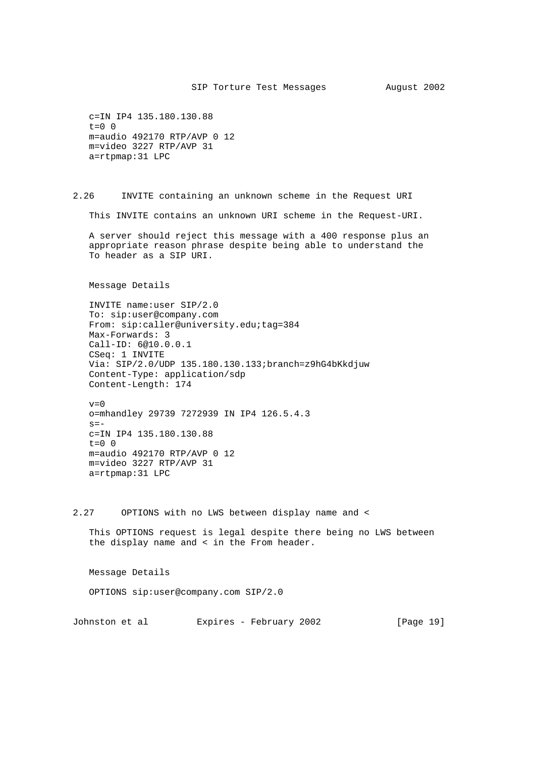```
 c=IN IP4 135.180.130.88
t=0 0
 m=audio 492170 RTP/AVP 0 12
 m=video 3227 RTP/AVP 31
 a=rtpmap:31 LPC
```
2.26 INVITE containing an unknown scheme in the Request URI

This INVITE contains an unknown URI scheme in the Request-URI.

 A server should reject this message with a 400 response plus an appropriate reason phrase despite being able to understand the To header as a SIP URI.

Message Details

 INVITE name:user SIP/2.0 To: sip:user@company.com From: sip:caller@university.edu;tag=384 Max-Forwards: 3 Call-ID: 6@10.0.0.1 CSeq: 1 INVITE Via: SIP/2.0/UDP 135.180.130.133;branch=z9hG4bKkdjuw Content-Type: application/sdp Content-Length: 174

 $v=0$  o=mhandley 29739 7272939 IN IP4 126.5.4.3  $s=$  c=IN IP4 135.180.130.88  $t=0$  0 m=audio 492170 RTP/AVP 0 12 m=video 3227 RTP/AVP 31 a=rtpmap:31 LPC

2.27 OPTIONS with no LWS between display name and <

 This OPTIONS request is legal despite there being no LWS between the display name and < in the From header.

Message Details

OPTIONS sip:user@company.com SIP/2.0

Johnston et al Expires - February 2002 [Page 19]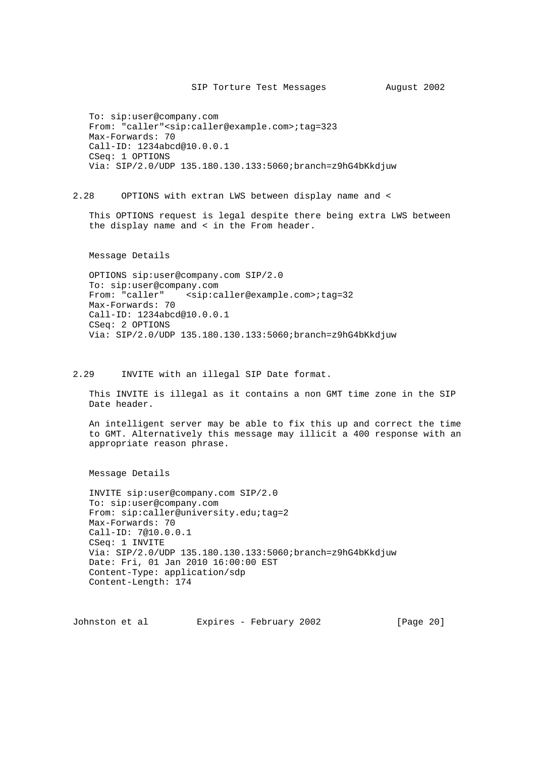To: sip:user@company.com From: "caller"<sip:caller@example.com>;tag=323 Max-Forwards: 70 Call-ID: 1234abcd@10.0.0.1 CSeq: 1 OPTIONS Via: SIP/2.0/UDP 135.180.130.133:5060;branch=z9hG4bKkdjuw

2.28 OPTIONS with extran LWS between display name and <

 This OPTIONS request is legal despite there being extra LWS between the display name and < in the From header.

Message Details

 OPTIONS sip:user@company.com SIP/2.0 To: sip:user@company.com From: "caller" <sip:caller@example.com>;tag=32 Max-Forwards: 70 Call-ID: 1234abcd@10.0.0.1 CSeq: 2 OPTIONS Via: SIP/2.0/UDP 135.180.130.133:5060;branch=z9hG4bKkdjuw

2.29 INVITE with an illegal SIP Date format.

 This INVITE is illegal as it contains a non GMT time zone in the SIP Date header.

 An intelligent server may be able to fix this up and correct the time to GMT. Alternatively this message may illicit a 400 response with an appropriate reason phrase.

Message Details

 INVITE sip:user@company.com SIP/2.0 To: sip:user@company.com From: sip:caller@university.edu;tag=2 Max-Forwards: 70 Call-ID: 7@10.0.0.1 CSeq: 1 INVITE Via: SIP/2.0/UDP 135.180.130.133:5060;branch=z9hG4bKkdjuw Date: Fri, 01 Jan 2010 16:00:00 EST Content-Type: application/sdp Content-Length: 174

Johnston et al Expires - February 2002 [Page 20]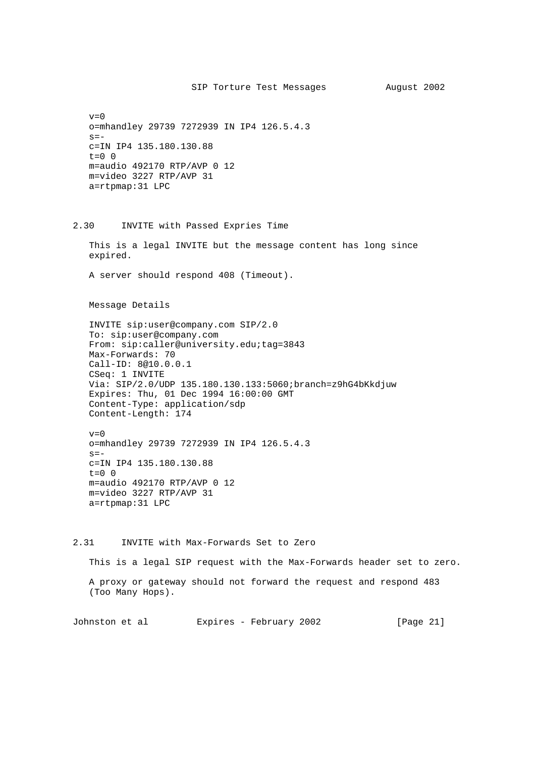```
v=0 o=mhandley 29739 7272939 IN IP4 126.5.4.3
s=- c=IN IP4 135.180.130.88
t=0 0
 m=audio 492170 RTP/AVP 0 12
 m=video 3227 RTP/AVP 31
 a=rtpmap:31 LPC
```
2.30 INVITE with Passed Expries Time

 This is a legal INVITE but the message content has long since expired.

A server should respond 408 (Timeout).

Message Details

 INVITE sip:user@company.com SIP/2.0 To: sip:user@company.com From: sip:caller@university.edu;tag=3843 Max-Forwards: 70 Call-ID: 8@10.0.0.1 CSeq: 1 INVITE Via: SIP/2.0/UDP 135.180.130.133:5060;branch=z9hG4bKkdjuw Expires: Thu, 01 Dec 1994 16:00:00 GMT Content-Type: application/sdp Content-Length: 174

 $v=0$  o=mhandley 29739 7272939 IN IP4 126.5.4.3  $s=$  c=IN IP4 135.180.130.88  $t=0$  0 m=audio 492170 RTP/AVP 0 12 m=video 3227 RTP/AVP 31 a=rtpmap:31 LPC

2.31 INVITE with Max-Forwards Set to Zero

This is a legal SIP request with the Max-Forwards header set to zero.

 A proxy or gateway should not forward the request and respond 483 (Too Many Hops).

Johnston et al Expires - February 2002 [Page 21]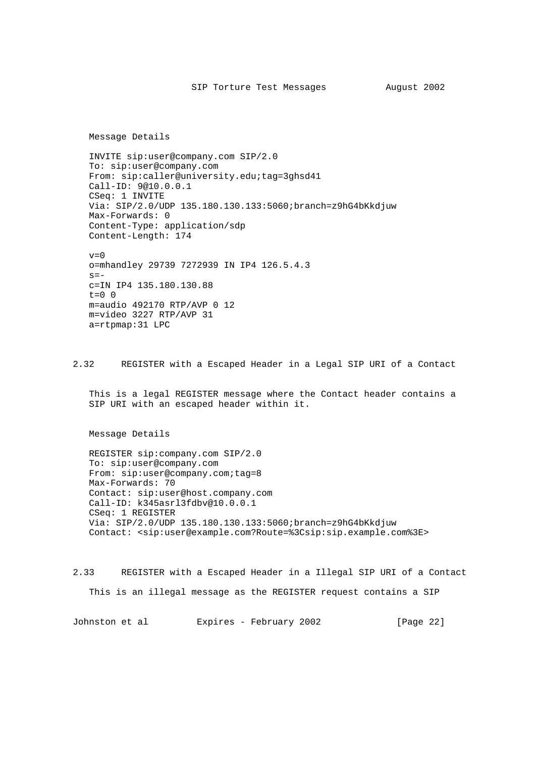Message Details

 INVITE sip:user@company.com SIP/2.0 To: sip:user@company.com From: sip:caller@university.edu;tag=3ghsd41 Call-ID: 9@10.0.0.1 CSeq: 1 INVITE Via: SIP/2.0/UDP 135.180.130.133:5060;branch=z9hG4bKkdjuw Max-Forwards: 0 Content-Type: application/sdp Content-Length: 174  $v=0$ 

 o=mhandley 29739 7272939 IN IP4 126.5.4.3  $s=$  c=IN IP4 135.180.130.88  $t=0$  0 m=audio 492170 RTP/AVP 0 12 m=video 3227 RTP/AVP 31 a=rtpmap:31 LPC

2.32 REGISTER with a Escaped Header in a Legal SIP URI of a Contact

 This is a legal REGISTER message where the Contact header contains a SIP URI with an escaped header within it.

Message Details

 REGISTER sip:company.com SIP/2.0 To: sip:user@company.com From: sip:user@company.com;tag=8 Max-Forwards: 70 Contact: sip:user@host.company.com Call-ID: k345asrl3fdbv@10.0.0.1 CSeq: 1 REGISTER Via: SIP/2.0/UDP 135.180.130.133:5060;branch=z9hG4bKkdjuw Contact: <sip:user@example.com?Route=%3Csip:sip.example.com%3E>

2.33 REGISTER with a Escaped Header in a Illegal SIP URI of a Contact This is an illegal message as the REGISTER request contains a SIP

Johnston et al Expires - February 2002 [Page 22]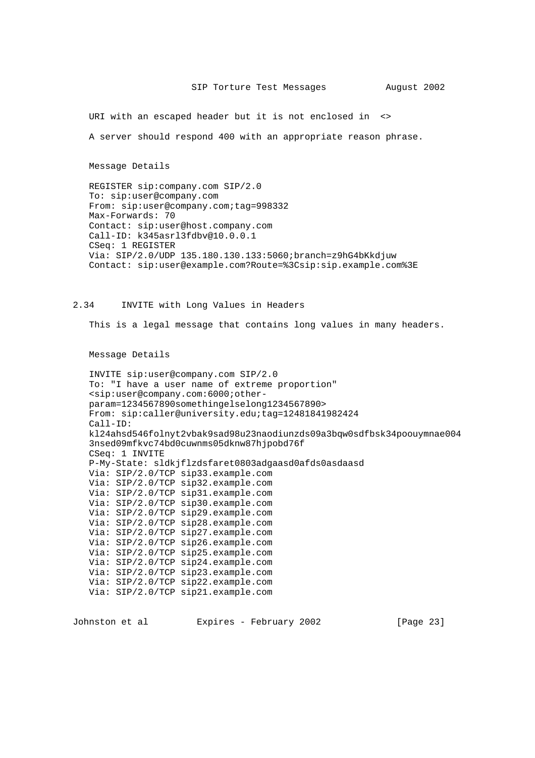URI with an escaped header but it is not enclosed in <>

A server should respond 400 with an appropriate reason phrase.

Message Details

 REGISTER sip:company.com SIP/2.0 To: sip:user@company.com From: sip:user@company.com;tag=998332 Max-Forwards: 70 Contact: sip:user@host.company.com Call-ID: k345asrl3fdbv@10.0.0.1 CSeq: 1 REGISTER Via: SIP/2.0/UDP 135.180.130.133:5060;branch=z9hG4bKkdjuw Contact: sip:user@example.com?Route=%3Csip:sip.example.com%3E

# 2.34 INVITE with Long Values in Headers

This is a legal message that contains long values in many headers.

Message Details

```
 INVITE sip:user@company.com SIP/2.0
 To: "I have a user name of extreme proportion"
 <sip:user@company.com:6000;other-
 param=1234567890somethingelselong1234567890>
 From: sip:caller@university.edu;tag=12481841982424
 Call-ID:
 kl24ahsd546folnyt2vbak9sad98u23naodiunzds09a3bqw0sdfbsk34poouymnae004
 3nsed09mfkvc74bd0cuwnms05dknw87hjpobd76f
 CSeq: 1 INVITE
 P-My-State: sldkjflzdsfaret0803adgaasd0afds0asdaasd
 Via: SIP/2.0/TCP sip33.example.com
 Via: SIP/2.0/TCP sip32.example.com
 Via: SIP/2.0/TCP sip31.example.com
 Via: SIP/2.0/TCP sip30.example.com
 Via: SIP/2.0/TCP sip29.example.com
 Via: SIP/2.0/TCP sip28.example.com
 Via: SIP/2.0/TCP sip27.example.com
 Via: SIP/2.0/TCP sip26.example.com
 Via: SIP/2.0/TCP sip25.example.com
 Via: SIP/2.0/TCP sip24.example.com
 Via: SIP/2.0/TCP sip23.example.com
 Via: SIP/2.0/TCP sip22.example.com
 Via: SIP/2.0/TCP sip21.example.com
```
Johnston et al Expires - February 2002 [Page 23]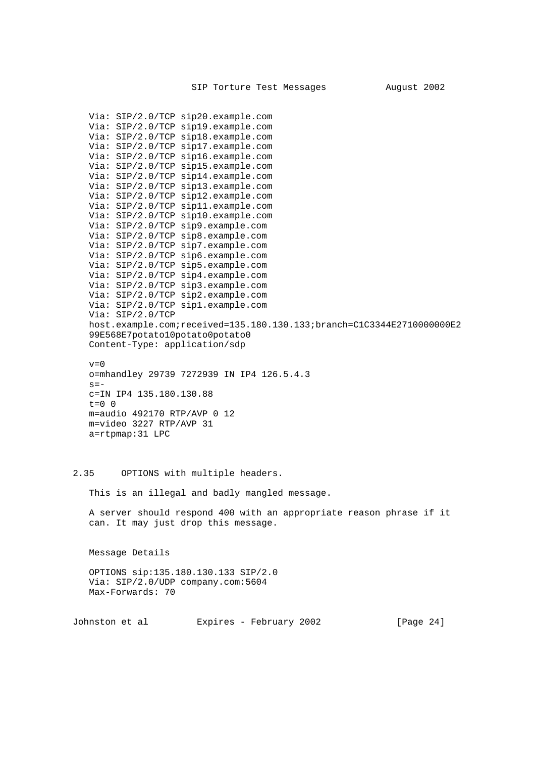Via: SIP/2.0/TCP sip20.example.com Via: SIP/2.0/TCP sip19.example.com Via: SIP/2.0/TCP sip18.example.com Via: SIP/2.0/TCP sip17.example.com Via: SIP/2.0/TCP sip16.example.com Via: SIP/2.0/TCP sip15.example.com Via: SIP/2.0/TCP sip14.example.com Via: SIP/2.0/TCP sip13.example.com Via: SIP/2.0/TCP sip12.example.com Via: SIP/2.0/TCP sip11.example.com Via: SIP/2.0/TCP sip10.example.com Via: SIP/2.0/TCP sip9.example.com Via: SIP/2.0/TCP sip8.example.com Via: SIP/2.0/TCP sip7.example.com Via: SIP/2.0/TCP sip6.example.com Via: SIP/2.0/TCP sip5.example.com Via: SIP/2.0/TCP sip4.example.com Via: SIP/2.0/TCP sip3.example.com Via: SIP/2.0/TCP sip2.example.com Via: SIP/2.0/TCP sip1.example.com Via: SIP/2.0/TCP host.example.com;received=135.180.130.133;branch=C1C3344E2710000000E2 99E568E7potato10potato0potato0 Content-Type: application/sdp  $v=0$  o=mhandley 29739 7272939 IN IP4 126.5.4.3  $s=$  c=IN IP4 135.180.130.88  $t=0$  0 m=audio 492170 RTP/AVP 0 12 m=video 3227 RTP/AVP 31 a=rtpmap:31 LPC

# 2.35 OPTIONS with multiple headers.

This is an illegal and badly mangled message.

 A server should respond 400 with an appropriate reason phrase if it can. It may just drop this message.

Message Details

 OPTIONS sip:135.180.130.133 SIP/2.0 Via: SIP/2.0/UDP company.com:5604 Max-Forwards: 70

Johnston et al Expires - February 2002 [Page 24]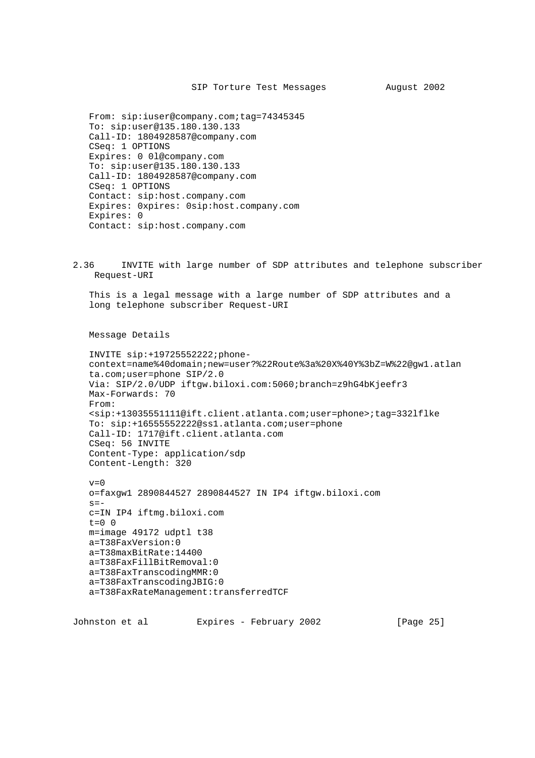From: sip:iuser@company.com;tag=74345345 To: sip:user@135.180.130.133 Call-ID: 1804928587@company.com CSeq: 1 OPTIONS Expires: 0 0l@company.com To: sip:user@135.180.130.133 Call-ID: 1804928587@company.com CSeq: 1 OPTIONS Contact: sip:host.company.com Expires: 0xpires: 0sip:host.company.com Expires: 0 Contact: sip:host.company.com

2.36 INVITE with large number of SDP attributes and telephone subscriber Request-URI

 This is a legal message with a large number of SDP attributes and a long telephone subscriber Request-URI

Message Details

 INVITE sip:+19725552222;phone context=name%40domain;new=user?%22Route%3a%20X%40Y%3bZ=W%22@gw1.atlan ta.com;user=phone SIP/2.0 Via: SIP/2.0/UDP iftgw.biloxi.com:5060;branch=z9hG4bKjeefr3 Max-Forwards: 70 From: <sip:+13035551111@ift.client.atlanta.com;user=phone>;tag=332lflke To: sip:+16555552222@ss1.atlanta.com;user=phone Call-ID: 1717@ift.client.atlanta.com CSeq: 56 INVITE Content-Type: application/sdp Content-Length: 320  $v=0$  o=faxgw1 2890844527 2890844527 IN IP4 iftgw.biloxi.com  $s=$  c=IN IP4 iftmg.biloxi.com t=0 0 m=image 49172 udptl t38

 a=T38FaxVersion:0 a=T38maxBitRate:14400 a=T38FaxFillBitRemoval:0 a=T38FaxTranscodingMMR:0 a=T38FaxTranscodingJBIG:0 a=T38FaxRateManagement:transferredTCF

Johnston et al Expires - February 2002 [Page 25]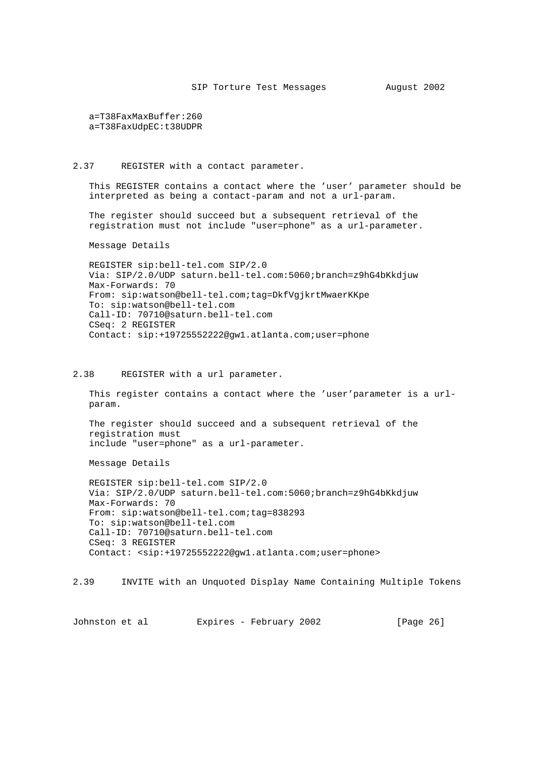a=T38FaxMaxBuffer:260 a=T38FaxUdpEC:t38UDPR

#### 2.37 REGISTER with a contact parameter.

 This REGISTER contains a contact where the 'user' parameter should be interpreted as being a contact-param and not a url-param.

 The register should succeed but a subsequent retrieval of the registration must not include "user=phone" as a url-parameter.

Message Details

 REGISTER sip:bell-tel.com SIP/2.0 Via: SIP/2.0/UDP saturn.bell-tel.com:5060;branch=z9hG4bKkdjuw Max-Forwards: 70 From: sip:watson@bell-tel.com;tag=DkfVgjkrtMwaerKKpe To: sip:watson@bell-tel.com Call-ID: 70710@saturn.bell-tel.com CSeq: 2 REGISTER Contact: sip:+19725552222@gw1.atlanta.com;user=phone

### 2.38 REGISTER with a url parameter.

 This register contains a contact where the 'user'parameter is a url param.

 The register should succeed and a subsequent retrieval of the registration must include "user=phone" as a url-parameter.

Message Details

 REGISTER sip:bell-tel.com SIP/2.0 Via: SIP/2.0/UDP saturn.bell-tel.com:5060;branch=z9hG4bKkdjuw Max-Forwards: 70 From: sip:watson@bell-tel.com;tag=838293 To: sip:watson@bell-tel.com Call-ID: 70710@saturn.bell-tel.com CSeq: 3 REGISTER Contact: <sip:+19725552222@gw1.atlanta.com;user=phone>

2.39 INVITE with an Unquoted Display Name Containing Multiple Tokens

Johnston et al Expires - February 2002 [Page 26]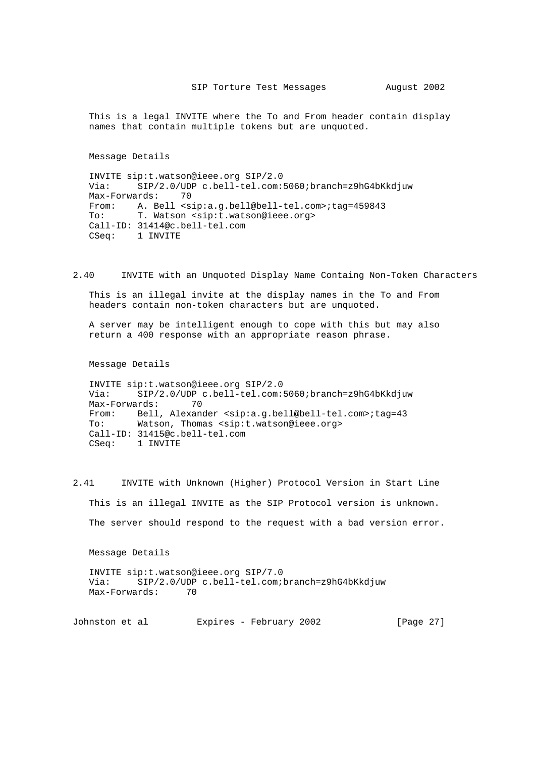This is a legal INVITE where the To and From header contain display names that contain multiple tokens but are unquoted.

Message Details

 INVITE sip:t.watson@ieee.org SIP/2.0 Via: SIP/2.0/UDP c.bell-tel.com:5060;branch=z9hG4bKkdjuw Max-Forwards: 70 From: A. Bell <sip:a.g.bell@bell-tel.com>;tag=459843 To: T. Watson <sip:t.watson@ieee.org> Call-ID: 31414@c.bell-tel.com CSeq: 1 INVITE

2.40 INVITE with an Unquoted Display Name Containg Non-Token Characters

 This is an illegal invite at the display names in the To and From headers contain non-token characters but are unquoted.

 A server may be intelligent enough to cope with this but may also return a 400 response with an appropriate reason phrase.

Message Details

 INVITE sip:t.watson@ieee.org SIP/2.0 Via: SIP/2.0/UDP c.bell-tel.com:5060;branch=z9hG4bKkdjuw Max-Forwards: 70 From: Bell, Alexander <sip:a.g.bell@bell-tel.com>;tag=43 To: Watson, Thomas <sip:t.watson@ieee.org> Call-ID: 31415@c.bell-tel.com CSeq: 1 INVITE

2.41 INVITE with Unknown (Higher) Protocol Version in Start Line This is an illegal INVITE as the SIP Protocol version is unknown. The server should respond to the request with a bad version error.

Message Details

 INVITE sip:t.watson@ieee.org SIP/7.0 Via: SIP/2.0/UDP c.bell-tel.com;branch=z9hG4bKkdjuw Max-Forwards: 70

Johnston et al Expires - February 2002 [Page 27]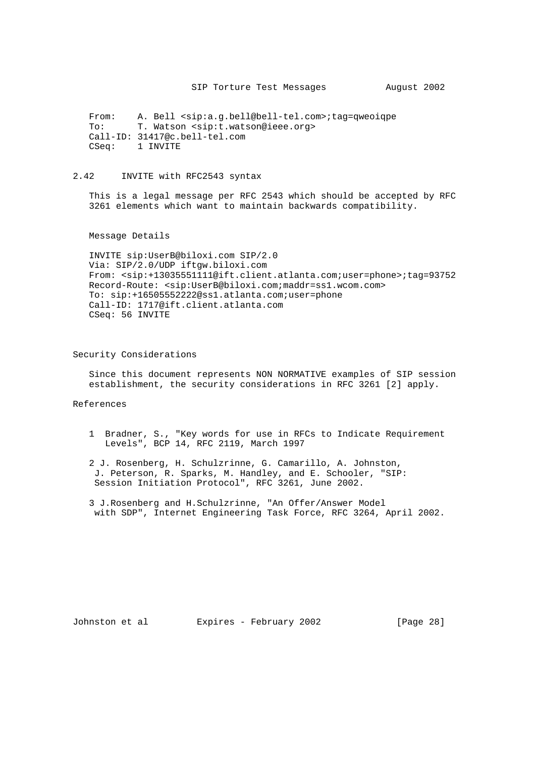From: A. Bell <sip:a.g.bell@bell-tel.com>;tag=qweoiqpe To: T. Watson <sip:t.watson@ieee.org> Call-ID: 31417@c.bell-tel.com CSeq: 1 INVITE

# 2.42 INVITE with RFC2543 syntax

 This is a legal message per RFC 2543 which should be accepted by RFC 3261 elements which want to maintain backwards compatibility.

Message Details

 INVITE sip:UserB@biloxi.com SIP/2.0 Via: SIP/2.0/UDP iftgw.biloxi.com From: <sip:+13035551111@ift.client.atlanta.com;user=phone>;tag=93752 Record-Route: <sip:UserB@biloxi.com;maddr=ss1.wcom.com> To: sip:+16505552222@ss1.atlanta.com;user=phone Call-ID: 1717@ift.client.atlanta.com CSeq: 56 INVITE

Security Considerations

 Since this document represents NON NORMATIVE examples of SIP session establishment, the security considerations in RFC 3261 [2] apply.

References

 1 Bradner, S., "Key words for use in RFCs to Indicate Requirement Levels", BCP 14, RFC 2119, March 1997

 2 J. Rosenberg, H. Schulzrinne, G. Camarillo, A. Johnston, J. Peterson, R. Sparks, M. Handley, and E. Schooler, "SIP: Session Initiation Protocol", RFC 3261, June 2002.

 3 J.Rosenberg and H.Schulzrinne, "An Offer/Answer Model with SDP", Internet Engineering Task Force, RFC 3264, April 2002.

Johnston et al Expires - February 2002 [Page 28]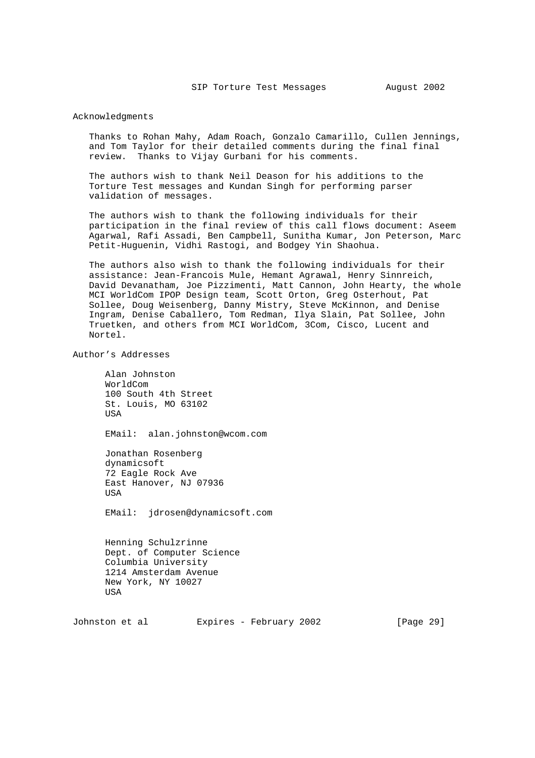### Acknowledgments

 Thanks to Rohan Mahy, Adam Roach, Gonzalo Camarillo, Cullen Jennings, and Tom Taylor for their detailed comments during the final final review. Thanks to Vijay Gurbani for his comments.

 The authors wish to thank Neil Deason for his additions to the Torture Test messages and Kundan Singh for performing parser validation of messages.

 The authors wish to thank the following individuals for their participation in the final review of this call flows document: Aseem Agarwal, Rafi Assadi, Ben Campbell, Sunitha Kumar, Jon Peterson, Marc Petit-Huguenin, Vidhi Rastogi, and Bodgey Yin Shaohua.

 The authors also wish to thank the following individuals for their assistance: Jean-Francois Mule, Hemant Agrawal, Henry Sinnreich, David Devanatham, Joe Pizzimenti, Matt Cannon, John Hearty, the whole MCI WorldCom IPOP Design team, Scott Orton, Greg Osterhout, Pat Sollee, Doug Weisenberg, Danny Mistry, Steve McKinnon, and Denise Ingram, Denise Caballero, Tom Redman, Ilya Slain, Pat Sollee, John Truetken, and others from MCI WorldCom, 3Com, Cisco, Lucent and Nortel.

Author's Addresses

 Alan Johnston WorldCom 100 South 4th Street St. Louis, MO 63102 USA EMail: alan.johnston@wcom.com Jonathan Rosenberg dynamicsoft 72 Eagle Rock Ave East Hanover, NJ 07936 USA EMail: jdrosen@dynamicsoft.com Henning Schulzrinne Dept. of Computer Science Columbia University

 1214 Amsterdam Avenue New York, NY 10027 USA

Johnston et al Expires - February 2002 [Page 29]